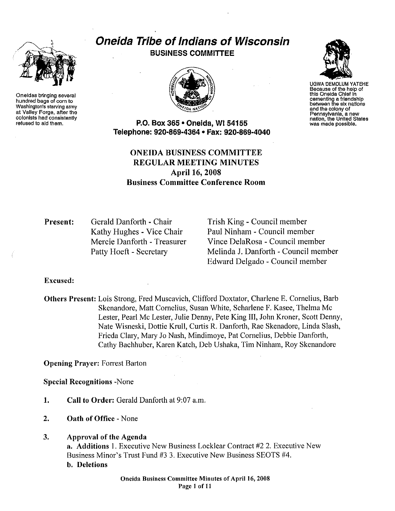

Oneidas bringing several hundred bags of corn to Washington's starving army at Valley Forge, after the colonists had consistently refused to aid them.

# Oneida Tribe of Indians of Wisconsin BUSINESS COMMITTEE



UGWA DEMOLUM YATEHE Because of the help of this Oneida Chief In cementing a friendship between the six nations and the colony of<br>Pennsylvania, a new nation, the United States was made possible.

P.O. Box 365 • Oneida, WI 54155 Telephone: 920·869·4364 • Fax: 920·869·4040

# ONEIDA BUSINESS COMMITTEE REGULAR MEETING MINUTES Apri116, 2008 Business Committee Conference Room

Present: Gerald Danforth · Chair Kathy Hughes - Vice Chair Mercie Danforth - Treasurer Patty Hoeft - Secretary

Trish King - Council member Paul Ninham - Council member Vince DelaRosa - Council member Melinda J. Danforth - Council member Edward Delgado - Council member

Excused:

Others Present: Lois Strong, Fred Muscavich, Clifford Doxtater, Charlene E. Cornelius, Barb Skenandore, Matt Cornelius, Susan White, Scharlene F. Kasee, Thelma Me Lester, Pearl Me Lester, Julie Denny, Pete King III, John Kroner, Scott Denny, Nate Wisneski, Dottie Krull, Curtis R. Danforth, Rae Skenadore, Linda Slash, Frieda Clary, Mmy Jo Nash, Mindimoye, Pat Cornelius, Debbie Danforth, Cathy Bachhuber, Karen Katch, Deb Ushaka, Tim Ninham, Roy Skenandore

Opening Prayer: Forrest Barton

Special Recognitions -None

- 1. Call to Order: Gerald Danforth at 9:07 a.m.
- 2. Oath of Office- None
- 3. Approval of the Agenda

a. Additions I. Executive New Business Locklear Contract #2 2. Executive New Business Minor's Trust Fund #3 3. Executive New Business SEOTS #4. b. Deletions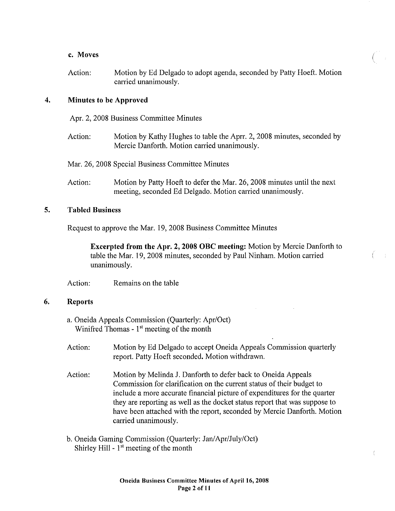### c. Moves

Action: Motion by Ed Delgado to adopt agenda, seconded by Patty Hoeft. Motion carried unanimously.

(

### 4. Minutes to be Approved

Apr. 2, 2008 Business Committee Minutes

Action: Motion by Kathy Hughes to table the Aprr. 2, 2008 minutes, seconded by Mercie Danforth. Motion carried unanimously.

Mar. 26, 2008 Special Business Committee Minutes

Action: Motion by Patty Hoeft to defer the Mar. 26, 2008 minutes until the next meeting, seconded Ed Delgado. Motion carried unanimously.

# 5. Tabled Business

Request to approve the Mar. 19, 2008 Business Committee Minutes

Excerpted from the Apr. 2, 2008 OBC meeting: Motion by Mercie Danforth to table the Mar. 19, 2008 minutes, seconded by Paul Ninham. Motion carried unanimously.

Action: Remains on the table

#### 6. Reports

- a. Oneida Appeals Commission (Quarterly: Apr/Oct) Winifred Thomas -  $1<sup>st</sup>$  meeting of the month
- Action: Motion by Ed Delgado to accept Oneida Appeals Commission quarterly report. Patty Hoeft seconded. Motion withdrawn.
- Action: Motion by Melinda J. Danforth to defer back to Oneida Appeals Commission for clarification on the current status of their budget to include a more accurate financial picture of expenditures for the quarter they are reporting as well as the docket status report that was suppose to have been attached with the report, seconded by Mercie Danforth. Motion carried unanimously.
- b. Oneida Gaming Commission (Quatterly: Jan/Apr/July/Oct) Shirley Hill  $-1<sup>st</sup>$  meeting of the month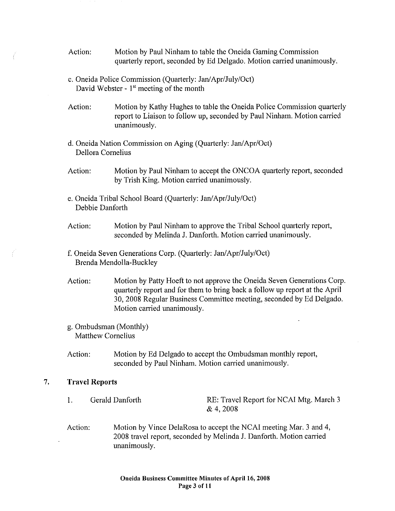- Action: Motion by Paul Ninham to table the Oneida Gaming Commission quarterly report, seconded by Ed Delgado. Motion carried unanimously.
- c. Oneida Police Commission (Quarterly: Jan/Apr/July/Oct) David Webster - 1<sup>st</sup> meeting of the month
- Action: Motion by Kathy Hughes to table the Oneida Police Commission quarterly report to Liaison to follow up, seconded by Paul Ninham. Motion carried unanimously.
- d. Oneida Nation Commission on Aging (Quarterly: Jan/Apr/Oct) Dellora Cornelius
- Action: Motion by Paul Ninham to accept the ONCOA quarterly report, seconded by Trish King. Motion carried unanimously.
- e. Oneida Tribal School Board (Quarterly: Jan/Apr/July/Oct) Debbie Danforth
- Action: Motion by Paul Ninham to approve the Tribal School quarterly report, seconded by Melinda J. Danforth. Motion carried unanimously.
- f. Oneida Seven Generations Corp. (Qumterly: Jan/ Apr/July/Oct) Brenda Mendolla-Buckley
- Action: Motion by Patty Hoeft to not approve the Oneida Seven Generations Corp. quarterly report and for them to bring back a follow up report at the April 30, 2008 Regular Business Committee meeting, seconded by Ed Delgado. Motion carried unanimously.
- g. Ombudsman (Monthly) Matthew Cornelius
- Action: Motion by Ed Delgado to accept the Ombudsman monthly report, seconded by Paul Ninham. Motion carried unanimously.

# 7. Travel Reports

- I. Gerald Danforth RE: Travel Report for NCAI Mtg. March 3 & 4, 2008
- Action: Motion by Vince DelaRosa to accept the NCAI meeting Mar. 3 and 4, 2008 travel report, seconded by Melinda J. Danforth. Motion carried unanimously.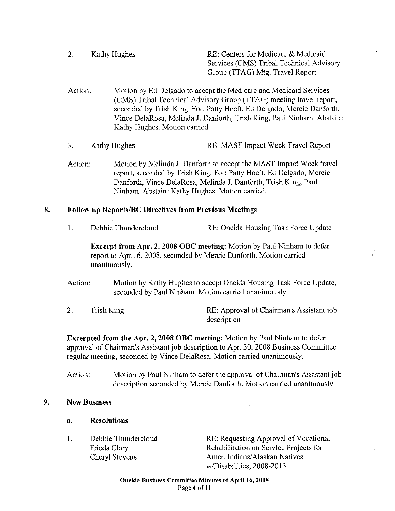2. Kathy Hughes RE: Centers for Medicare & Medicaid Services (CMS) Tribal Technical Advisory Group (TTAG) Mtg. Travel Report

- Action: Motion by Ed Delgado to accept the Medicare and Medicaid Services (CMS) Tribal Technical Advisory Group (TTAG) meeting travel report, seconded by Trish King. For: Patty Hoeft, Ed Delgado, Mercie Danforth, Vince DelaRosa, Melinda J. Danforth, Trish King, Paul Ninham Abstain: Kathy Hughes. Motion carried.
- 3. Kathy Hughes RE: MAST Impact Week Travel Report
- Action: Motion by Melinda J. Danfotih to accept the MAST Impact Week travel report, seconded by Trish King. For: Patty Hoeft, Ed Delgado, Mercie Danfotih, Vince DelaRosa, Melinda J. Danforth, Trish King, Paul Ninham. Abstain: Kathy Hughes. Motion carried.

# 8. Follow up Reports/BC Directives from Previous Meetings

1. Debbie Thundercloud RE: Oneida Housing Task Force Update

Excerpt from Apr. 2, 2008 OBC meeting: Motion by Paul Ninham to defer report to Apr.l6, 2008, seconded by Mercie Danforth. Motion carried unanimously.

- Action: Motion by Kathy Hughes to accept Oneida Housing Task Force Update, seconded by Paul Ninham. Motion carried unanimously.
- 2. Trish King RE: Approval of Chairman's Assistant job description

Excerpted from the Apr. 2, 2008 OBC meeting: Motion by Paul Ninham to defer approval of Chaitman's Assistant job description to Apr. 30, 2008 Business Committee regular meeting, seconded by Vince DelaRosa. Motion carried unanimously.

Action: Motion by Paul Ninham to defer the approval of Chairman's Assistant job description seconded by Mercie Danforth. Motion carried unanimously.

# 9. New Business

# a. Resolutions

1. Debbie Thundercloud Frieda Clary Cheryl Stevens

RE: Requesting Approval of Vocational Rehabilitation on Service Projects for Amer. Indians/Alaskan Natives w/Disabilities, 2008-2013

 $\bar{z}$ 

Oneida Business Committee Minutes of April 16, 2008 Page 4 of 11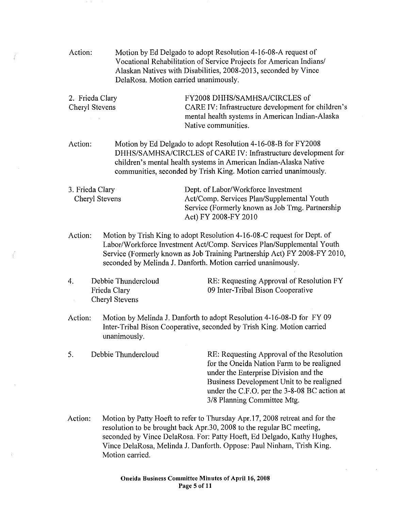Action: Motion by Ed Delgado to adopt Resolution 4-16-08-A request of Vocational Rehabilitation of Service Projects for American Indians/ Alaskan Natives with Disabilities, 2008-2013, seconded by Vince DelaRosa. Motion carried unanimously.

2. Frieda Clary Cheryl Stevens FY2008 DHHS/SAMHSA/CIRCLES of CARE IV: Infrastructure development for children's mental health systems in American Indian-Alaska Native communities.

Action: Motion by Ed Delgado to adopt Resolution 4-16-08-B for FY2008 DHHS/SAMHSA/CIRCLES of CARE IV: Infrastructure development for children's mental health systems in American Indian-Alaska Native communities, seconded by Trish King. Motion carried unanimously.

3. Frieda Clary Cheryl Stevens Dept. of Labor/Workforce Investment Act/Comp. Services Plan/Supplemental Youth Service (Formerly known as Job Tmg. Patinership Act) FY 2008-FY 2010

Action: Motion by Trish King to adopt Resolution 4-16-08-C request for Dept. of Labor/Workforce Investment Act/Comp. Services Plan/Supplemental Youth Service (Formerly known as Job Training Partnership Act) FY 2008-FY 2010, seconded by Melinda J. Danforth. Motion carried unanimously.

4. Debbie Thundercloud Frieda Clary Cheryl Stevens

RE: Requesting Approval of Resolution FY 09 Inter-Tribal Bison Cooperative

Action: Motion by Melinda J. Danforth to adopt Resolution 4-16-08-D for FY 09 Inter-Tribal Bison Cooperative, seconded by Trish King. Motion carried unanimously.

5. Debbie Thundercloud RE: Requesting Approval of the Resolution for the Oneida Nation Farm to be realigned under the Enterprise Division and the Business Development Unit to be realigned under the C.F .0. per the 3-8-08 BC action at 3/8 Planning Committee Mtg.

Action: Motion by Patty Hoeft to refer to Thursday Apr.17, 2008 retreat and for the resolution to be brought back Apr.30, 2008 to the regular BC meeting, seconded by Vince DelaRosa. For: Patty Hoeft, Ed Delgado, Kathy Hughes, Vince DelaRosa, Melinda J. Danforth. Oppose: Paul Ninham, Trish King. Motion carried.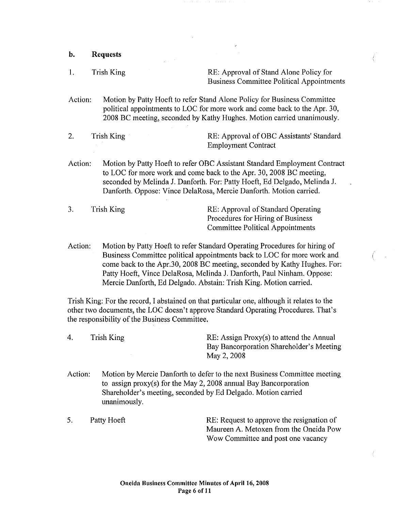- b. Requests
- I. Trish King RE: Approval of Stand Alone Policy for Business Committee Political Appointments
- Action: Motion by Patty Hoeft to refer Stand Alone Policy for Business Committee political appointments to LOC for more work and come back to the Apr. 30, 2008 BC meeting, seconded by Kathy Hughes. Motion carried unanimously.
- 2. Trish King RE: Approval of OBC Assistants' Standard Employment Contract
- Action: Motion by Patty Hoeft to refer OBC Assistant Standard Employment Contract to LOC for more work and come back to the Apr. 30, 2008 BC meeting, seconded by Melinda J. Danforth. For: Patty Hoeft, Ed Delgado, Melinda J. Danforth. Oppose: Vince DelaRosa, Mercie Danforth. Motion carried.
- 3. Trish King RE: Approval of Standard Operating Procedures for Hiring of Business Committee Political Appointments
- Action: Motion by Patty Hoeft to refer Standard Operating Procedures for hiring of Business Committee political appointments back to LOC for more work and come back to the Apr.30, 2008 BC meeting, seconded by Kathy Hughes. For: Patty Hoeft, Vince DelaRosa, Melinda J. Danforth, Paul Ninham. Oppose: Mercie Danforth, Ed Delgado. Abstain: Trish King. Motion carried.

Trish King: For the record, I abstained on that particular one, although it relates to the other two documents, the LOC doesn't approve Standard Operating Procedures. That's the responsibility of the Business Committee.

4. Trish King RE: Assign Proxy(s) to attend the Annual Bay Bancorporation Shareholder's Meeting May 2, 2008

Wow Committee and post one vacancy

- Action: Motion by Mercie Danforth to defer to the next Business Committee meeting to assign proxy(s) for the May 2, 2008 annual Bay Bancorporation Shareholder's meeting, seconded by Ed Delgado. Motion carried unanimously.
- 5. Patty Hoeft RE: Request to approve the resignation of Maureen A. Metoxen from the Oneida Pow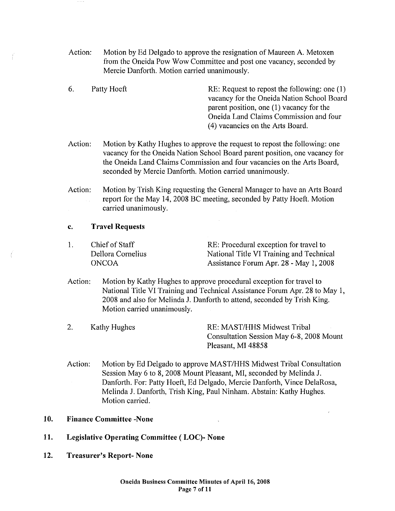- Action; Motion by Ed Delgado to approve the resignation of Maureen A. Metoxen from the Oneida Pow Wow Committee and post one vacancy, seconded by Mercie Danforth. Motion carried unanimously.
- 6. Patty Hoeft RE: Request to repost the following: one (1) vacancy for the Oneida Nation School Board parent position, one (I) vacancy for the Oneida Land Claims Commission and four ( 4) vacancies on the Arts Board.
- Action: Motion by Kathy Hughes to approve the request to repost the following: one vacancy for the Oneida Nation School Board parent position, one vacancy for the Oneida Land Claims Commission and four vacancies on the Arts Board, seconded by Mercie Danforth. Motion carried unanimously.
- Action: Motion by Trish King requesting the General Manager to have an Arts Board report for the May 14, 2008 BC meeting, seconded by Patty Hoeft. Motion carried unanimously.

#### c. Travel Requests

- I. Chief of Staff Dellora Cornelius **ONCOA** RE: Procedural exception for travel to National Title VI Training and Technical Assistance Forum Apr. 28 - May I, 2008
- Action; Motion by Kathy Hughes to approve procedural exception for travel to National Title VI Training and Technical Assistance Forum Apr. 28 to May I, 2008 and also for Melinda J. Danforth to attend, seconded by Trish King. Motion carried unanimously.
- 2. Kathy Hughes RE: MAST/HHS Midwest Tribal Consultation Session May 6-8, 2008 Mount Pleasant, MI 48858
- Action: Motion by Ed Delgado to approve MAST/HHS Midwest Tribal Consultation Session May 6 to 8, 2008 Mount Pleasant, MI, seconded by Melinda J. Danforth. For: Patty Hoeft, Ed Delgado, Mercie Danforth, Vince DelaRosa, Melinda J. Danforth, Trish King, Paul Ninham. Abstain; Kathy Hughes. Motion carried.

# 10. Finance Committee -None

- 11. Legislative Operating Committee ( LOC)- None
- 12. Treasurer's Report- None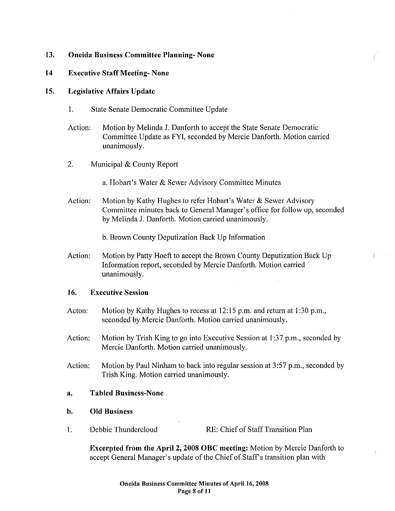# **13. Oneida Business Committee Planning- None**

#### **14 Executive Staff Meeting- None**

#### **15. Legislative Affairs Update**

- I. State Senate Democratic Committee Update
- Action: Motion by Melinda J. Danforth to accept the State Senate Democratic Committee Update as FYI, seconded by Mercie Danforth. Motion carried unanimously.
- 2. Municipal & County Report

a. Hobart's Water & Sewer Advisory Committee Minutes

Action: Motion by Kathy Hughes to refer Hobat1's Water & Sewer Advisory Committee minutes back to General Manager's office for follow up, seconded by Melinda J. Danforth. Motion carried unanimously.

b. Brown County Depulization Back Up Information

Action: Motion by Patty Hoeft to accept the Brown County Deputization Back Up Information report, seconded by Mercie Danforth. Motion carried unanimously.

#### **16. Executive Session**

- Acton: Motion by Kathy Hughes to recess at 12:15 p.m. and return at 1:30 p.m., seconded by Mercie Danforth. Motion carried unanimously.
- Action: Motion by Trish King to go into Executive Session at 1:37 p.m., seconded by Mercie Danforth. Motion carried unanimously.
- Action: Motion by Paul Ninham to back into regular session at 3:57 p.m., seconded by Trish King. Motion carried unanimously.

#### **a. Tabled Business-None**

#### **b. Old Business**

I. Debbie Thundercloud RE: Chief of Staff Transition Plan

**Excerpted from the April2, 2008 OBC meeting:** Motion by Mercie Danforth to accept General Manager's update of the Chief of Staff's transition plan with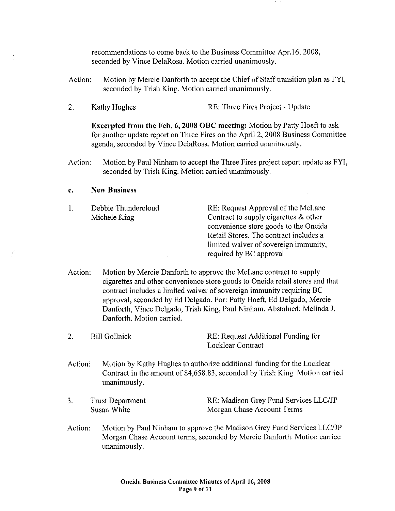recommendations to come back to the Business Committee Apr.l6, 2008, seconded by Vince DelaRosa. Motion carried unanimously.

- Action: Motion by Mercie Danforth to accept the Chief of Staff transition plan as FYI, seconded by Trish King. Motion carried unanimously.
- 2. Kathy Hughes RE: Three Fires Project Update

Excerpted from the Feb. 6, 2008 OBC meeting: Motion by Patty Hoeft to ask for another update report on Three Fires on the April 2, 2008 Business Committee agenda, seconded by Vince DelaRosa. Motion carried unanimously.

Action: Motion by Paul Ninham to accept the Three Fires project report update as FYI, seconded by Trish King. Motion carried unanimously.

#### c. New Business

- I. Debbie Thundercloud Michele King RE: Request Approval of the McLane Contract to supply cigarettes & other convenience store goods to the Oneida Retail Stores. The contract includes a limited waiver of sovereign immunity, required by BC approval
- Action: Motion by Mercie Danforth to approve the McLane contract to supply cigarettes and other convenience store goods to Oneida retail stores and that contract includes a limited waiver of sovereign immunity requiring BC approval, seconded by Ed Delgado. For: Patty Hoeft, Ed Delgado, Mercie Danforth, Vince Delgado, Trish King, Paul Ninham. Abstained: Melinda J. Danforth. Motion carried.

|  | Bill Gollnick | RE: Request Additional Funding for |
|--|---------------|------------------------------------|
|  |               | Locklear Contract                  |

Action: Motion by Kathy Hughes to authorize additional funding for the Locklear Contract in the amount of \$4,658.83, seconded by Trish King. Motion carried unanimously.

- 3. Trust Department Susan White RE: Madison Grey Fund Services LLC/JP Morgan Chase Account Terms
- Action: Motion by Paul Ninham to approve the Madison Grey Fund Services LLC/JP Morgan Chase Account terms, seconded by Mercie Danforth. Motion carried unanimously.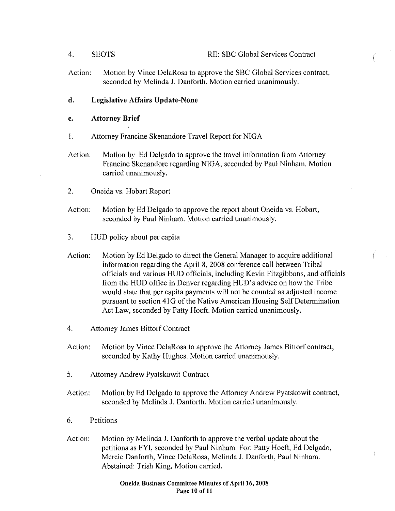- 4. SEOTS RE: SBC Global Services Contract
- Action: Motion by Vince DelaRosa to approve the SBC Global Services contract, seconded by Melinda J. Danforth. Motion carried unanimously.

# d. Legislative Affairs Update-None

## e. Attorney Brief

- I. Attorney Francine Skenandore Travel Report for NIGA
- Action: Motion by Ed Delgado to approve the travel information from Attorney Francine Skenandore regarding NIGA, seconded by Paul Ninham. Motion carried unanimously.
- 2. Oneida vs. Hobart Report
- Action: Motion by Ed Delgado to approve the report about Oneida vs. Hobart, seconded by Paul Ninham. Motion carried unanimously.
- 3. HUD policy about per capita
- Action: Motion by Ed Delgado to direct the General Manager to acquire additional information regarding the April 8, 2008 conference call between Tribal officials and various HUD officials, including Kevin Fitzgibbons, and officials from the HUD office in Denver regarding HUD's advice on how the Tribe would state that per capita payments will not be counted as adjusted income pursuant to section 41 G of the Native American Housing Self Determination Act Law, seconded by Patty Hoeft. Motion carried unanimously.
- 4. Attorney James Bittorf Contract
- Action: Motion by Vince DelaRosa to approve the Attorney James Bittorf contract, seconded by Kathy Hughes. Motion carried unanimously.
- 5. Attorney Andrew Pyatskowit Contract
- Action: Motion by Ed Delgado to approve the Attorney Andrew Pyatskowit contract, seconded by Melinda J. Danforth. Motion carried unanimously.
- 6. Petitions
- Action: Motion by Melinda J. Danforth to approve the verbal update about the petitions as FYI, seconded by Paul Ninham. For: Patty Hoeft, Ed Delgado, Mercie Danforth, Vince DelaRosa, Melinda J. Danforth, Paul Ninham. Abstained: Trish King. Motion carried.